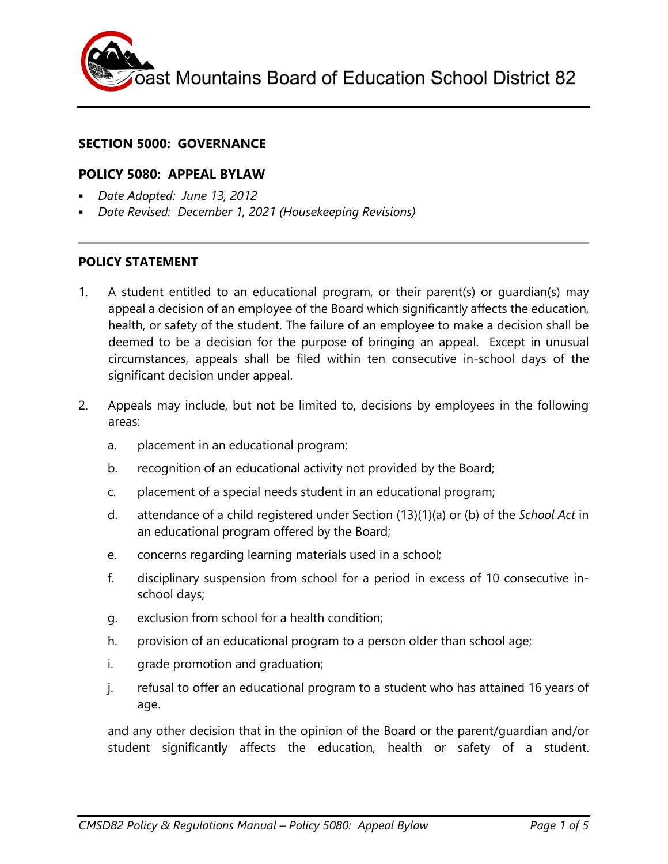oast Mountains Board of Education School District 82

### **SECTION 5000: GOVERNANCE**

#### **POLICY 5080: APPEAL BYLAW**

- *Date Adopted: June 13, 2012*
- *Date Revised: December 1, 2021 (Housekeeping Revisions)*

#### **POLICY STATEMENT**

- 1. A student entitled to an educational program, or their parent(s) or guardian(s) may appeal a decision of an employee of the Board which significantly affects the education, health, or safety of the student. The failure of an employee to make a decision shall be deemed to be a decision for the purpose of bringing an appeal. Except in unusual circumstances, appeals shall be filed within ten consecutive in-school days of the significant decision under appeal.
- 2. Appeals may include, but not be limited to, decisions by employees in the following areas:
	- a. placement in an educational program;
	- b. recognition of an educational activity not provided by the Board;
	- c. placement of a special needs student in an educational program;
	- d. attendance of a child registered under Section (13)(1)(a) or (b) of the *School Act* in an educational program offered by the Board;
	- e. concerns regarding learning materials used in a school;
	- f. disciplinary suspension from school for a period in excess of 10 consecutive inschool days;
	- g. exclusion from school for a health condition;
	- h. provision of an educational program to a person older than school age;
	- i. grade promotion and graduation;
	- j. refusal to offer an educational program to a student who has attained 16 years of age.

and any other decision that in the opinion of the Board or the parent/guardian and/or student significantly affects the education, health or safety of a student.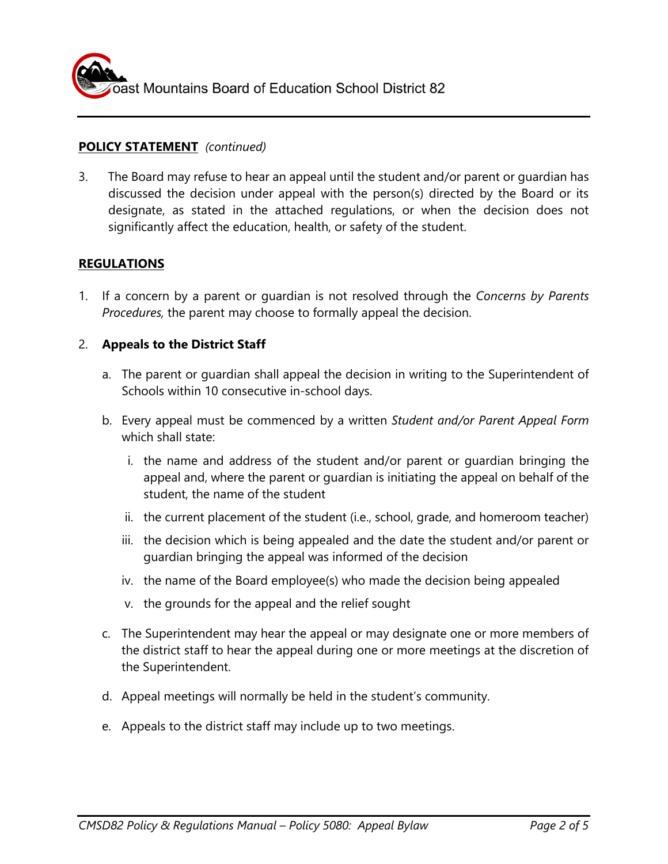

### **POLICY STATEMENT** *(continued)*

3. The Board may refuse to hear an appeal until the student and/or parent or guardian has discussed the decision under appeal with the person(s) directed by the Board or its designate, as stated in the attached regulations, or when the decision does not significantly affect the education, health, or safety of the student.

### **REGULATIONS**

1. If a concern by a parent or guardian is not resolved through the *Concerns by Parents Procedures,* the parent may choose to formally appeal the decision.

#### 2. **Appeals to the District Staff**

- a. The parent or guardian shall appeal the decision in writing to the Superintendent of Schools within 10 consecutive in-school days.
- b. Every appeal must be commenced by a written *Student and/or Parent Appeal Form* which shall state:
	- i. the name and address of the student and/or parent or guardian bringing the appeal and, where the parent or guardian is initiating the appeal on behalf of the student, the name of the student
	- ii. the current placement of the student (i.e., school, grade, and homeroom teacher)
	- iii. the decision which is being appealed and the date the student and/or parent or guardian bringing the appeal was informed of the decision
	- iv. the name of the Board employee(s) who made the decision being appealed
	- v. the grounds for the appeal and the relief sought
- c. The Superintendent may hear the appeal or may designate one or more members of the district staff to hear the appeal during one or more meetings at the discretion of the Superintendent.
- d. Appeal meetings will normally be held in the student's community.
- e. Appeals to the district staff may include up to two meetings.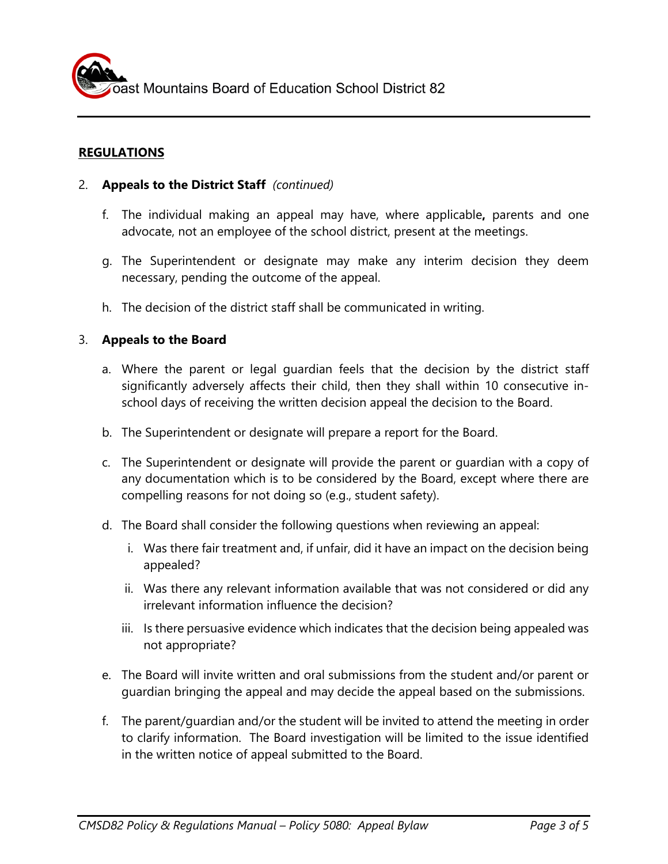## **REGULATIONS**

- 2. **Appeals to the District Staff** *(continued)*
	- f. The individual making an appeal may have, where applicable**,** parents and one advocate, not an employee of the school district, present at the meetings.
	- g. The Superintendent or designate may make any interim decision they deem necessary, pending the outcome of the appeal.
	- h. The decision of the district staff shall be communicated in writing.

### 3. **Appeals to the Board**

- a. Where the parent or legal guardian feels that the decision by the district staff significantly adversely affects their child, then they shall within 10 consecutive inschool days of receiving the written decision appeal the decision to the Board.
- b. The Superintendent or designate will prepare a report for the Board.
- c. The Superintendent or designate will provide the parent or guardian with a copy of any documentation which is to be considered by the Board, except where there are compelling reasons for not doing so (e.g., student safety).
- d. The Board shall consider the following questions when reviewing an appeal:
	- i. Was there fair treatment and, if unfair, did it have an impact on the decision being appealed?
	- ii. Was there any relevant information available that was not considered or did any irrelevant information influence the decision?
	- iii. Is there persuasive evidence which indicates that the decision being appealed was not appropriate?
- e. The Board will invite written and oral submissions from the student and/or parent or guardian bringing the appeal and may decide the appeal based on the submissions.
- f. The parent/guardian and/or the student will be invited to attend the meeting in order to clarify information. The Board investigation will be limited to the issue identified in the written notice of appeal submitted to the Board.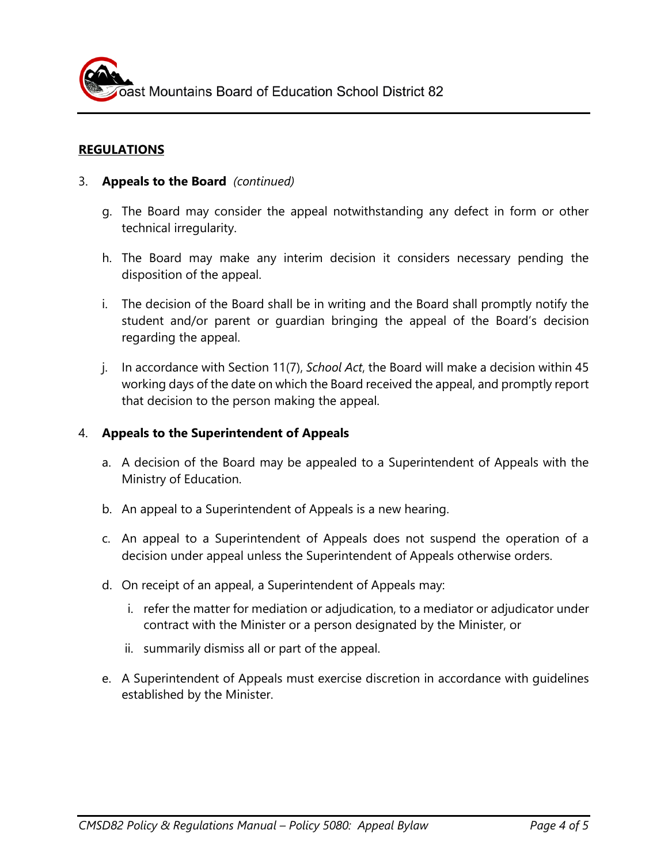# **REGULATIONS**

## 3. **Appeals to the Board** *(continued)*

- g. The Board may consider the appeal notwithstanding any defect in form or other technical irregularity.
- h. The Board may make any interim decision it considers necessary pending the disposition of the appeal.
- i. The decision of the Board shall be in writing and the Board shall promptly notify the student and/or parent or guardian bringing the appeal of the Board's decision regarding the appeal.
- j. In accordance with Section 11(7), *School Act*, the Board will make a decision within 45 working days of the date on which the Board received the appeal, and promptly report that decision to the person making the appeal.

### 4. **Appeals to the Superintendent of Appeals**

- a. A decision of the Board may be appealed to a Superintendent of Appeals with the Ministry of Education.
- b. An appeal to a Superintendent of Appeals is a new hearing.
- c. An appeal to a Superintendent of Appeals does not suspend the operation of a decision under appeal unless the Superintendent of Appeals otherwise orders.
- d. On receipt of an appeal, a Superintendent of Appeals may:
	- i. refer the matter for mediation or adjudication, to a mediator or adjudicator under contract with the Minister or a person designated by the Minister, or
	- ii. summarily dismiss all or part of the appeal.
- e. A Superintendent of Appeals must exercise discretion in accordance with guidelines established by the Minister.